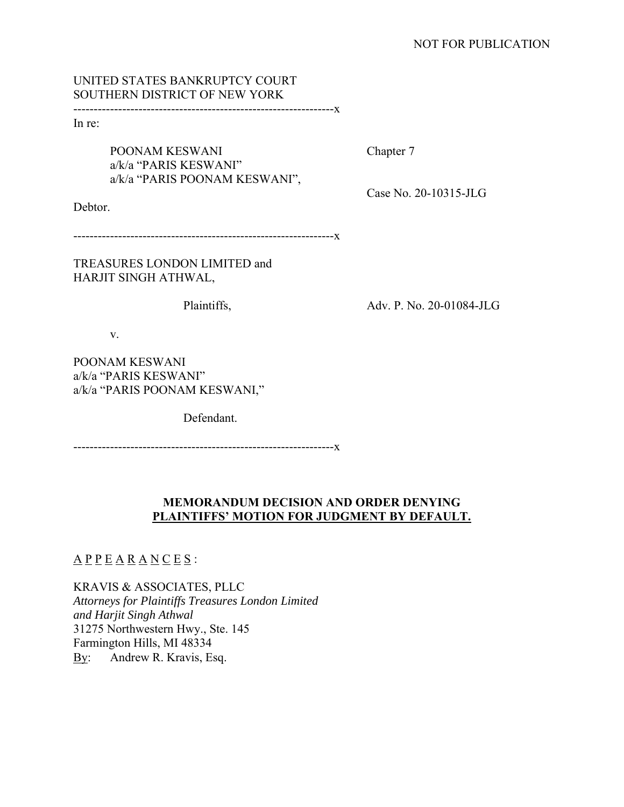## UNITED STATES BANKRUPTCY COURT SOUTHERN DISTRICT OF NEW YORK

----------------------------------------------------------------x

In re:

POONAM KESWANI Chapter 7 a/k/a "PARIS KESWANI" a/k/a "PARIS POONAM KESWANI",

Case No. 20-10315-JLG

Debtor.

----------------------------------------------------------------x

TREASURES LONDON LIMITED and HARJIT SINGH ATHWAL,

Plaintiffs, Adv. P. No. 20-01084-JLG

v.

POONAM KESWANI a/k/a "PARIS KESWANI" a/k/a "PARIS POONAM KESWANI,"

Defendant.

----------------------------------------------------------------x

# **MEMORANDUM DECISION AND ORDER DENYING PLAINTIFFS' MOTION FOR JUDGMENT BY DEFAULT.**

# $\underline{A} \underline{P} \underline{P} \underline{E} \underline{A} \underline{R} \underline{A} \underline{N} \underline{C} \underline{E} \underline{S}$ :

KRAVIS & ASSOCIATES, PLLC *Attorneys for Plaintiffs Treasures London Limited and Harjit Singh Athwal*  31275 Northwestern Hwy., Ste. 145 Farmington Hills, MI 48334 By: Andrew R. Kravis, Esq.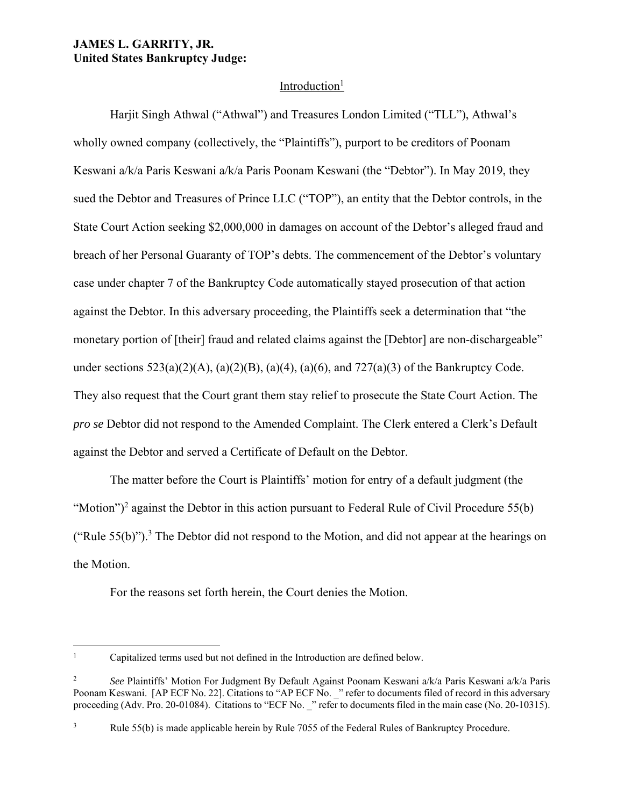## **JAMES L. GARRITY, JR. United States Bankruptcy Judge:**

## Introduction $1$

Harjit Singh Athwal ("Athwal") and Treasures London Limited ("TLL"), Athwal's wholly owned company (collectively, the "Plaintiffs"), purport to be creditors of Poonam Keswani a/k/a Paris Keswani a/k/a Paris Poonam Keswani (the "Debtor"). In May 2019, they sued the Debtor and Treasures of Prince LLC ("TOP"), an entity that the Debtor controls, in the State Court Action seeking \$2,000,000 in damages on account of the Debtor's alleged fraud and breach of her Personal Guaranty of TOP's debts. The commencement of the Debtor's voluntary case under chapter 7 of the Bankruptcy Code automatically stayed prosecution of that action against the Debtor. In this adversary proceeding, the Plaintiffs seek a determination that "the monetary portion of [their] fraud and related claims against the [Debtor] are non-dischargeable" under sections  $523(a)(2)(A)$ ,  $(a)(2)(B)$ ,  $(a)(4)$ ,  $(a)(6)$ , and  $727(a)(3)$  of the Bankruptcy Code. They also request that the Court grant them stay relief to prosecute the State Court Action. The *pro se* Debtor did not respond to the Amended Complaint. The Clerk entered a Clerk's Default against the Debtor and served a Certificate of Default on the Debtor.

The matter before the Court is Plaintiffs' motion for entry of a default judgment (the "Motion")<sup>2</sup> against the Debtor in this action pursuant to Federal Rule of Civil Procedure 55(b) ("Rule  $55(b)$ ").<sup>3</sup> The Debtor did not respond to the Motion, and did not appear at the hearings on the Motion.

For the reasons set forth herein, the Court denies the Motion.

<sup>1</sup> Capitalized terms used but not defined in the Introduction are defined below.

<sup>2</sup> *See* Plaintiffs' Motion For Judgment By Default Against Poonam Keswani a/k/a Paris Keswani a/k/a Paris Poonam Keswani. [AP ECF No. 22]. Citations to "AP ECF No. \_" refer to documents filed of record in this adversary proceeding (Adv. Pro. 20-01084). Citations to "ECF No. " refer to documents filed in the main case (No. 20-10315).

<sup>3</sup> Rule 55(b) is made applicable herein by Rule 7055 of the Federal Rules of Bankruptcy Procedure.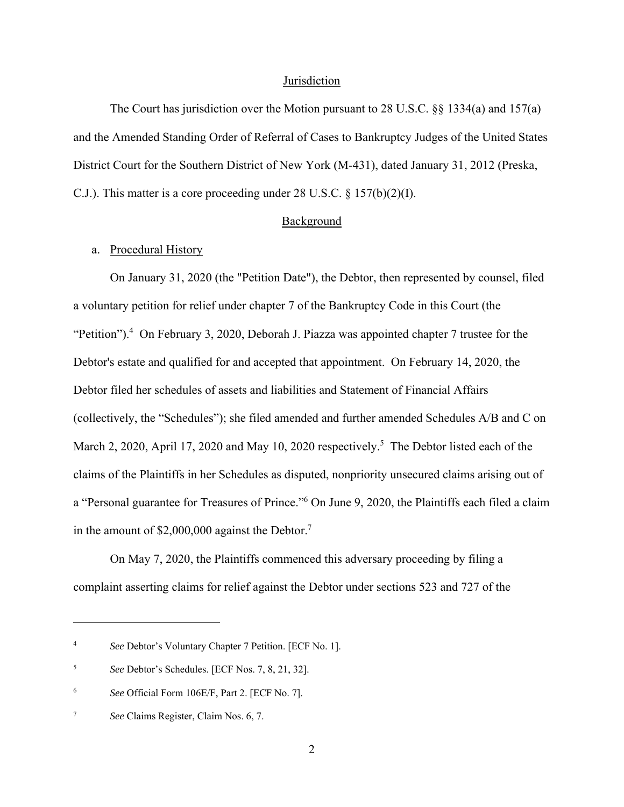#### **Jurisdiction**

The Court has jurisdiction over the Motion pursuant to 28 U.S.C. §§ 1334(a) and 157(a) and the Amended Standing Order of Referral of Cases to Bankruptcy Judges of the United States District Court for the Southern District of New York (M-431), dated January 31, 2012 (Preska, C.J.). This matter is a core proceeding under 28 U.S.C. § 157(b)(2)(I).

#### Background

### a. Procedural History

On January 31, 2020 (the "Petition Date"), the Debtor, then represented by counsel, filed a voluntary petition for relief under chapter 7 of the Bankruptcy Code in this Court (the "Petition").<sup>4</sup> On February 3, 2020, Deborah J. Piazza was appointed chapter 7 trustee for the Debtor's estate and qualified for and accepted that appointment. On February 14, 2020, the Debtor filed her schedules of assets and liabilities and Statement of Financial Affairs (collectively, the "Schedules"); she filed amended and further amended Schedules A/B and C on March 2, 2020, April 17, 2020 and May 10, 2020 respectively.<sup>5</sup> The Debtor listed each of the claims of the Plaintiffs in her Schedules as disputed, nonpriority unsecured claims arising out of a "Personal guarantee for Treasures of Prince."<sup>6</sup> On June 9, 2020, the Plaintiffs each filed a claim in the amount of \$2,000,000 against the Debtor.<sup>7</sup>

On May 7, 2020, the Plaintiffs commenced this adversary proceeding by filing a complaint asserting claims for relief against the Debtor under sections 523 and 727 of the

<sup>4</sup> *See* Debtor's Voluntary Chapter 7 Petition. [ECF No. 1].

<sup>5</sup> *See* Debtor's Schedules. [ECF Nos. 7, 8, 21, 32].

<sup>6</sup> *See* Official Form 106E/F, Part 2. [ECF No. 7].

<sup>7</sup> *See* Claims Register, Claim Nos. 6, 7.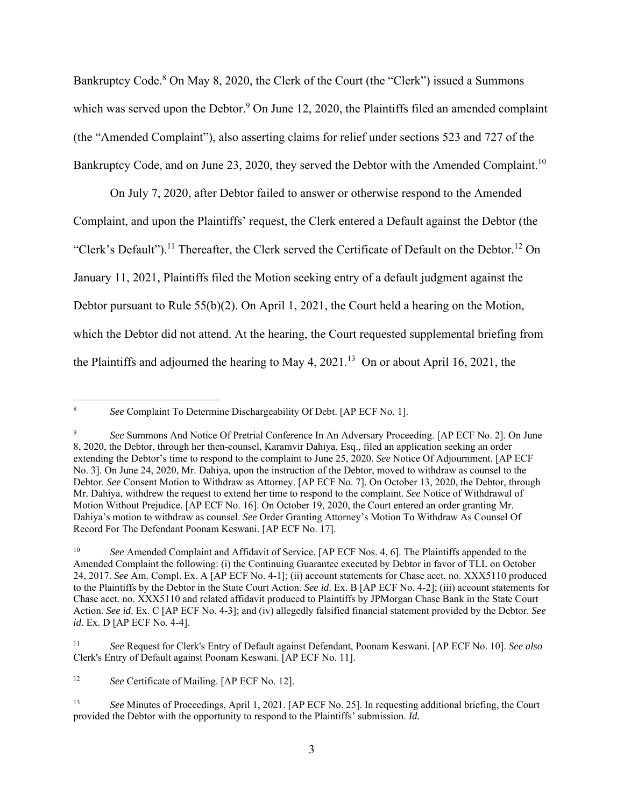Bankruptcy Code.<sup>8</sup> On May 8, 2020, the Clerk of the Court (the "Clerk") issued a Summons which was served upon the Debtor.<sup>9</sup> On June 12, 2020, the Plaintiffs filed an amended complaint (the "Amended Complaint"), also asserting claims for relief under sections 523 and 727 of the Bankruptcy Code, and on June 23, 2020, they served the Debtor with the Amended Complaint.<sup>10</sup>

On July 7, 2020, after Debtor failed to answer or otherwise respond to the Amended Complaint, and upon the Plaintiffs' request, the Clerk entered a Default against the Debtor (the "Clerk's Default").<sup>11</sup> Thereafter, the Clerk served the Certificate of Default on the Debtor.<sup>12</sup> On January 11, 2021, Plaintiffs filed the Motion seeking entry of a default judgment against the Debtor pursuant to Rule 55(b)(2). On April 1, 2021, the Court held a hearing on the Motion, which the Debtor did not attend. At the hearing, the Court requested supplemental briefing from the Plaintiffs and adjourned the hearing to May 4,  $2021<sup>13</sup>$  On or about April 16, 2021, the

<sup>8</sup> *See* Complaint To Determine Dischargeability Of Debt. [AP ECF No. 1].

<sup>9</sup> *See* Summons And Notice Of Pretrial Conference In An Adversary Proceeding. [AP ECF No. 2]. On June 8, 2020, the Debtor, through her then-counsel, Karamvir Dahiya, Esq., filed an application seeking an order extending the Debtor's time to respond to the complaint to June 25, 2020. *See* Notice Of Adjournment. [AP ECF No. 3]. On June 24, 2020, Mr. Dahiya, upon the instruction of the Debtor, moved to withdraw as counsel to the Debtor. *See* Consent Motion to Withdraw as Attorney. [AP ECF No. 7]. On October 13, 2020, the Debtor, through Mr. Dahiya, withdrew the request to extend her time to respond to the complaint. *See* Notice of Withdrawal of Motion Without Prejudice. [AP ECF No. 16]. On October 19, 2020, the Court entered an order granting Mr. Dahiya's motion to withdraw as counsel. *See* Order Granting Attorney's Motion To Withdraw As Counsel Of Record For The Defendant Poonam Keswani. [AP ECF No. 17].

<sup>10</sup> *See* Amended Complaint and Affidavit of Service. [AP ECF Nos. 4, 6]. The Plaintiffs appended to the Amended Complaint the following: (i) the Continuing Guarantee executed by Debtor in favor of TLL on October 24, 2017. *See* Am. Compl. Ex. A [AP ECF No. 4-1]; (ii) account statements for Chase acct. no. XXX5110 produced to the Plaintiffs by the Debtor in the State Court Action. *See id*. Ex. B [AP ECF No. 4-2]; (iii) account statements for Chase acct. no. XXX5110 and related affidavit produced to Plaintiffs by JPMorgan Chase Bank in the State Court Action. *See id*. Ex. C [AP ECF No. 4-3]; and (iv) allegedly falsified financial statement provided by the Debtor. *See id.* Ex. D [AP ECF No. 4-4].

<sup>11</sup> *See* Request for Clerk's Entry of Default against Defendant, Poonam Keswani. [AP ECF No. 10]. *See also*  Clerk's Entry of Default against Poonam Keswani. [AP ECF No. 11].

<sup>&</sup>lt;sup>12</sup> *See* Certificate of Mailing. [AP ECF No. 12].

<sup>13</sup> *See* Minutes of Proceedings, April 1, 2021. [AP ECF No. 25]. In requesting additional briefing, the Court provided the Debtor with the opportunity to respond to the Plaintiffs' submission. *Id.*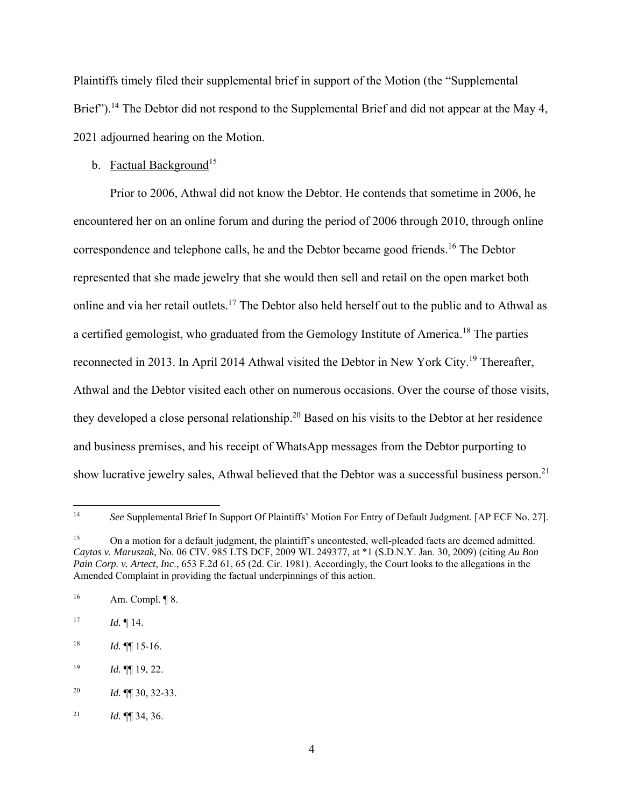Plaintiffs timely filed their supplemental brief in support of the Motion (the "Supplemental Brief").<sup>14</sup> The Debtor did not respond to the Supplemental Brief and did not appear at the May 4, 2021 adjourned hearing on the Motion.

### b. Factual Background<sup>15</sup>

Prior to 2006, Athwal did not know the Debtor. He contends that sometime in 2006, he encountered her on an online forum and during the period of 2006 through 2010, through online correspondence and telephone calls, he and the Debtor became good friends.<sup>16</sup> The Debtor represented that she made jewelry that she would then sell and retail on the open market both online and via her retail outlets.<sup>17</sup> The Debtor also held herself out to the public and to Athwal as a certified gemologist, who graduated from the Gemology Institute of America.<sup>18</sup> The parties reconnected in 2013. In April 2014 Athwal visited the Debtor in New York City.<sup>19</sup> Thereafter, Athwal and the Debtor visited each other on numerous occasions. Over the course of those visits, they developed a close personal relationship.<sup>20</sup> Based on his visits to the Debtor at her residence and business premises, and his receipt of WhatsApp messages from the Debtor purporting to show lucrative jewelry sales, Athwal believed that the Debtor was a successful business person.<sup>21</sup>

<sup>14</sup> *See* Supplemental Brief In Support Of Plaintiffs' Motion For Entry of Default Judgment. [AP ECF No. 27].

<sup>&</sup>lt;sup>15</sup> On a motion for a default judgment, the plaintiff's uncontested, well-pleaded facts are deemed admitted. *Caytas v. Maruszak*, No. 06 CIV. 985 LTS DCF, 2009 WL 249377, at \*1 (S.D.N.Y. Jan. 30, 2009) (citing *Au Bon Pain Corp. v. Artect*, *Inc*., 653 F.2d 61, 65 (2d. Cir. 1981). Accordingly, the Court looks to the allegations in the Amended Complaint in providing the factual underpinnings of this action.

<sup>16</sup> Am. Compl. ¶ 8.

 $17$  *Id.* 14.

 $18$  *Id.* **¶** 15-16.

<sup>19</sup> *Id.* ¶¶ 19, 22.

<sup>20</sup> *Id.* ¶¶ 30, 32-33.

<sup>21</sup> *Id.* ¶¶ 34, 36.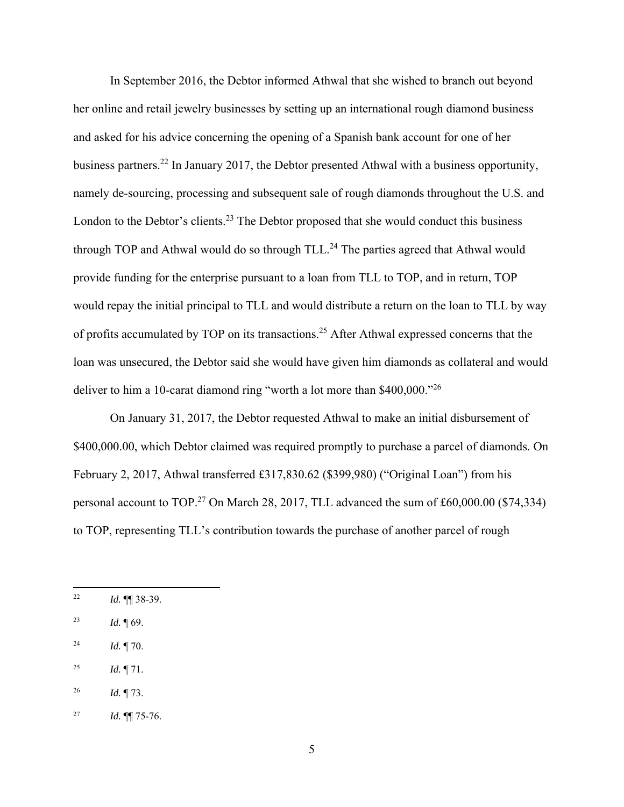In September 2016, the Debtor informed Athwal that she wished to branch out beyond her online and retail jewelry businesses by setting up an international rough diamond business and asked for his advice concerning the opening of a Spanish bank account for one of her business partners.22 In January 2017, the Debtor presented Athwal with a business opportunity, namely de-sourcing, processing and subsequent sale of rough diamonds throughout the U.S. and London to the Debtor's clients.<sup>23</sup> The Debtor proposed that she would conduct this business through TOP and Athwal would do so through  $TLL<sup>24</sup>$  The parties agreed that Athwal would provide funding for the enterprise pursuant to a loan from TLL to TOP, and in return, TOP would repay the initial principal to TLL and would distribute a return on the loan to TLL by way of profits accumulated by TOP on its transactions.25 After Athwal expressed concerns that the loan was unsecured, the Debtor said she would have given him diamonds as collateral and would deliver to him a 10-carat diamond ring "worth a lot more than \$400,000."<sup>26</sup>

On January 31, 2017, the Debtor requested Athwal to make an initial disbursement of \$400,000.00, which Debtor claimed was required promptly to purchase a parcel of diamonds. On February 2, 2017, Athwal transferred £317,830.62 (\$399,980) ("Original Loan") from his personal account to TOP.<sup>27</sup> On March 28, 2017, TLL advanced the sum of £60,000.00 (\$74,334) to TOP, representing TLL's contribution towards the purchase of another parcel of rough

- 24 *Id.* ¶ 70.
- <sup>25</sup> *Id.*  $\P$  71.

<sup>22</sup> *Id.* ¶¶ 38-39.

<sup>23</sup> *Id.* ¶ 69.

<sup>26</sup> *Id.* ¶ 73.

<sup>27</sup> *Id.* ¶¶ 75-76.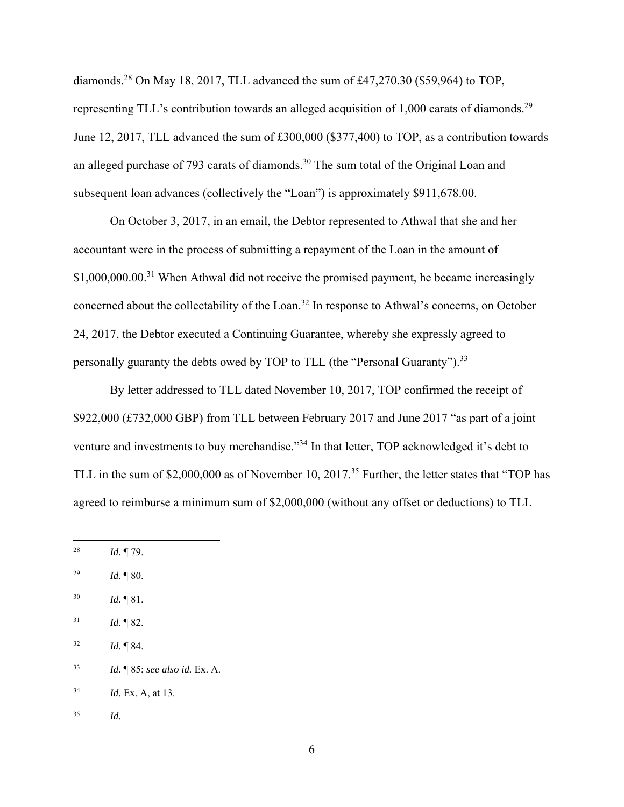diamonds.<sup>28</sup> On May 18, 2017, TLL advanced the sum of £47,270.30 (\$59,964) to TOP, representing TLL's contribution towards an alleged acquisition of 1,000 carats of diamonds.<sup>29</sup> June 12, 2017, TLL advanced the sum of £300,000 (\$377,400) to TOP, as a contribution towards an alleged purchase of 793 carats of diamonds.<sup>30</sup> The sum total of the Original Loan and subsequent loan advances (collectively the "Loan") is approximately \$911,678.00.

On October 3, 2017, in an email, the Debtor represented to Athwal that she and her accountant were in the process of submitting a repayment of the Loan in the amount of  $$1,000,000.00$ <sup>31</sup> When Athwal did not receive the promised payment, he became increasingly concerned about the collectability of the Loan.32 In response to Athwal's concerns, on October 24, 2017, the Debtor executed a Continuing Guarantee, whereby she expressly agreed to personally guaranty the debts owed by TOP to TLL (the "Personal Guaranty").<sup>33</sup>

By letter addressed to TLL dated November 10, 2017, TOP confirmed the receipt of \$922,000 (£732,000 GBP) from TLL between February 2017 and June 2017 "as part of a joint venture and investments to buy merchandise."<sup>34</sup> In that letter, TOP acknowledged it's debt to TLL in the sum of \$2,000,000 as of November 10, 2017.<sup>35</sup> Further, the letter states that "TOP has agreed to reimburse a minimum sum of \$2,000,000 (without any offset or deductions) to TLL

- 30 *Id.* ¶ 81.
- $1^{31}$  *Id.*  $\sqrt{\ }$  82.
- $^{32}$  *Id.*  $\sqrt[3]{84}$ .
- 33 *Id.* ¶ 85; *see also id.* Ex. A.

34 *Id.* Ex. A, at 13.

35 *Id.* 

<sup>28</sup> *Id.* ¶ 79.

<sup>29</sup> *Id.* ¶ 80.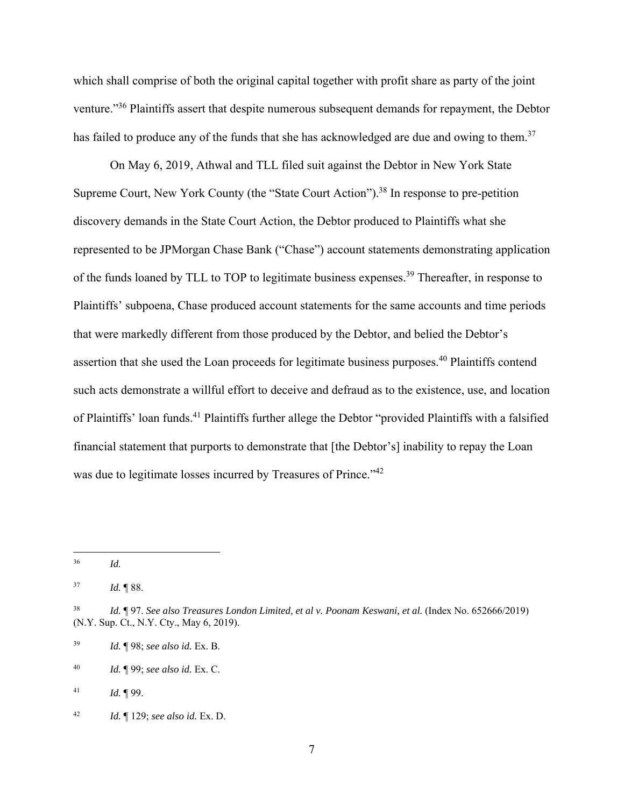which shall comprise of both the original capital together with profit share as party of the joint venture."36 Plaintiffs assert that despite numerous subsequent demands for repayment, the Debtor has failed to produce any of the funds that she has acknowledged are due and owing to them.<sup>37</sup>

On May 6, 2019, Athwal and TLL filed suit against the Debtor in New York State Supreme Court, New York County (the "State Court Action").<sup>38</sup> In response to pre-petition discovery demands in the State Court Action, the Debtor produced to Plaintiffs what she represented to be JPMorgan Chase Bank ("Chase") account statements demonstrating application of the funds loaned by TLL to TOP to legitimate business expenses.<sup>39</sup> Thereafter, in response to Plaintiffs' subpoena, Chase produced account statements for the same accounts and time periods that were markedly different from those produced by the Debtor, and belied the Debtor's assertion that she used the Loan proceeds for legitimate business purposes.40 Plaintiffs contend such acts demonstrate a willful effort to deceive and defraud as to the existence, use, and location of Plaintiffs' loan funds.41 Plaintiffs further allege the Debtor "provided Plaintiffs with a falsified financial statement that purports to demonstrate that [the Debtor's] inability to repay the Loan was due to legitimate losses incurred by Treasures of Prince."<sup>42</sup>

41 *Id.* ¶ 99.

<sup>36</sup> *Id.* 

<sup>37</sup> *Id.* ¶ 88.

<sup>&</sup>lt;sup>38</sup> *Id.* ¶ 97. *See also Treasures London Limited, et al v. Poonam Keswani, et al.* (Index No. 652666/2019) (N.Y. Sup. Ct., N.Y. Cty., May 6, 2019).

<sup>39</sup> *Id.* ¶ 98; *see also id.* Ex. B.

<sup>40</sup> *Id.* ¶ 99; *see also id.* Ex. C.

<sup>42</sup> *Id.* ¶ 129; *see also id.* Ex. D.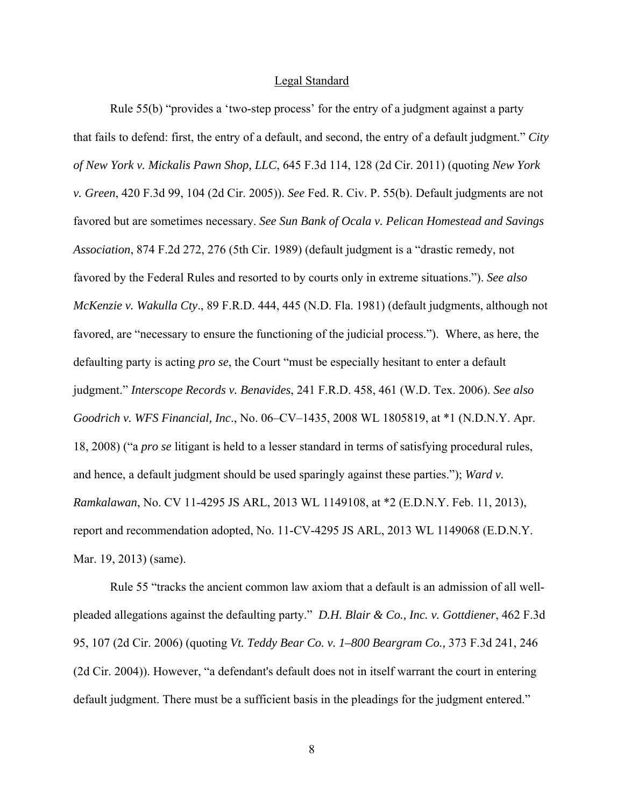#### Legal Standard

Rule 55(b) "provides a 'two-step process' for the entry of a judgment against a party that fails to defend: first, the entry of a default, and second, the entry of a default judgment." *City of New York v. Mickalis Pawn Shop, LLC*, 645 F.3d 114, 128 (2d Cir. 2011) (quoting *New York v. Green*, 420 F.3d 99, 104 (2d Cir. 2005)). *See* Fed. R. Civ. P. 55(b). Default judgments are not favored but are sometimes necessary. *See Sun Bank of Ocala v. Pelican Homestead and Savings Association*, 874 F.2d 272, 276 (5th Cir. 1989) (default judgment is a "drastic remedy, not favored by the Federal Rules and resorted to by courts only in extreme situations."). *See also McKenzie v. Wakulla Cty*., 89 F.R.D. 444, 445 (N.D. Fla. 1981) (default judgments, although not favored, are "necessary to ensure the functioning of the judicial process."). Where, as here, the defaulting party is acting *pro se*, the Court "must be especially hesitant to enter a default judgment." *Interscope Records v. Benavides*, 241 F.R.D. 458, 461 (W.D. Tex. 2006). *See also Goodrich v. WFS Financial, Inc*., No. 06–CV–1435, 2008 WL 1805819, at \*1 (N.D.N.Y. Apr. 18, 2008) ("a *pro se* litigant is held to a lesser standard in terms of satisfying procedural rules, and hence, a default judgment should be used sparingly against these parties."); *Ward v. Ramkalawan*, No. CV 11-4295 JS ARL, 2013 WL 1149108, at \*2 (E.D.N.Y. Feb. 11, 2013), report and recommendation adopted, No. 11-CV-4295 JS ARL, 2013 WL 1149068 (E.D.N.Y. Mar. 19, 2013) (same).

Rule 55 "tracks the ancient common law axiom that a default is an admission of all wellpleaded allegations against the defaulting party." *D.H. Blair & Co., Inc. v. Gottdiener*, 462 F.3d 95, 107 (2d Cir. 2006) (quoting *Vt. Teddy Bear Co. v. 1–800 Beargram Co.,* 373 F.3d 241, 246 (2d Cir. 2004)). However, "a defendant's default does not in itself warrant the court in entering default judgment. There must be a sufficient basis in the pleadings for the judgment entered."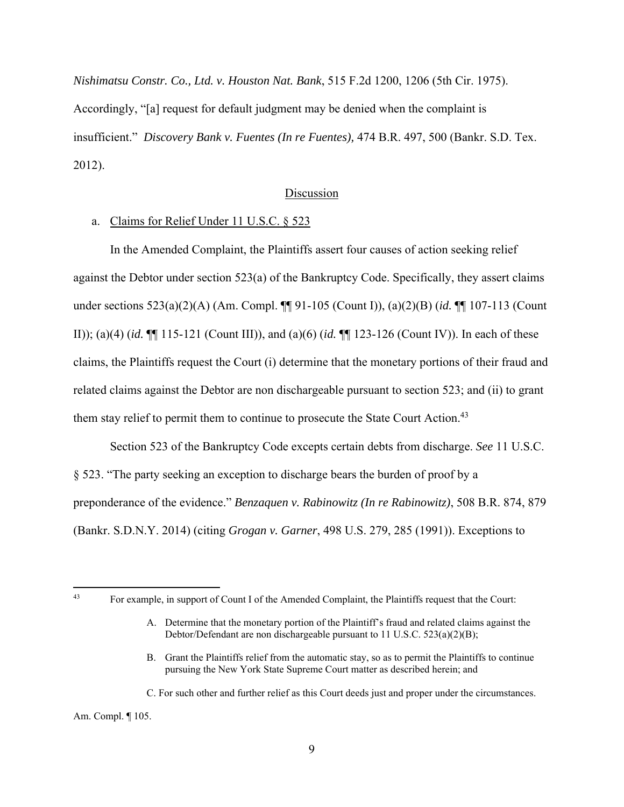*Nishimatsu Constr. Co., Ltd. v. Houston Nat. Bank*, 515 F.2d 1200, 1206 (5th Cir. 1975). Accordingly, "[a] request for default judgment may be denied when the complaint is insufficient." *Discovery Bank v. Fuentes (In re Fuentes),* 474 B.R. 497, 500 (Bankr. S.D. Tex. 2012).

#### Discussion

### a. Claims for Relief Under 11 U.S.C. § 523

In the Amended Complaint, the Plaintiffs assert four causes of action seeking relief against the Debtor under section 523(a) of the Bankruptcy Code. Specifically, they assert claims under sections 523(a)(2)(A) (Am. Compl. ¶¶ 91-105 (Count I)), (a)(2)(B) (*id.* ¶¶ 107-113 (Count II)); (a)(4) (*id.* ¶¶ 115-121 (Count III)), and (a)(6) (*id.* ¶¶ 123-126 (Count IV)). In each of these claims, the Plaintiffs request the Court (i) determine that the monetary portions of their fraud and related claims against the Debtor are non dischargeable pursuant to section 523; and (ii) to grant them stay relief to permit them to continue to prosecute the State Court Action.<sup>43</sup>

Section 523 of the Bankruptcy Code excepts certain debts from discharge. *See* 11 U.S.C. § 523. "The party seeking an exception to discharge bears the burden of proof by a preponderance of the evidence." *Benzaquen v. Rabinowitz (In re Rabinowitz)*, 508 B.R. 874, 879 (Bankr. S.D.N.Y. 2014) (citing *Grogan v. Garner*, 498 U.S. 279, 285 (1991)). Exceptions to

Am. Compl. ¶ 105.

<sup>43</sup> For example, in support of Count I of the Amended Complaint, the Plaintiffs request that the Court:

A. Determine that the monetary portion of the Plaintiff's fraud and related claims against the Debtor/Defendant are non dischargeable pursuant to 11 U.S.C. 523(a)(2)(B);

B. Grant the Plaintiffs relief from the automatic stay, so as to permit the Plaintiffs to continue pursuing the New York State Supreme Court matter as described herein; and

C. For such other and further relief as this Court deeds just and proper under the circumstances.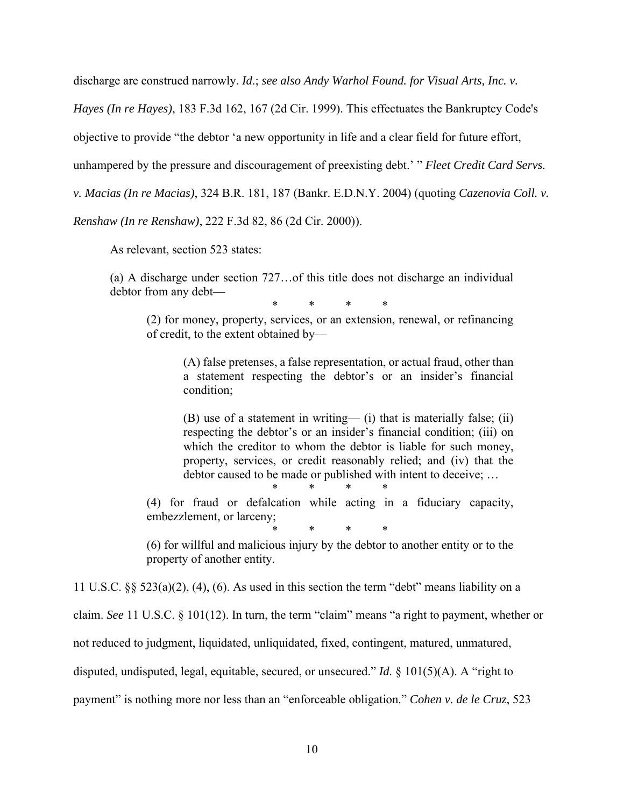discharge are construed narrowly. *Id*.; *see also Andy Warhol Found. for Visual Arts, Inc. v.* 

*Hayes (In re Hayes)*, 183 F.3d 162, 167 (2d Cir. 1999). This effectuates the Bankruptcy Code's

objective to provide "the debtor 'a new opportunity in life and a clear field for future effort,

unhampered by the pressure and discouragement of preexisting debt.' " *Fleet Credit Card Servs.* 

*v. Macias (In re Macias)*, 324 B.R. 181, 187 (Bankr. E.D.N.Y. 2004) (quoting *Cazenovia Coll. v.* 

*Renshaw (In re Renshaw)*, 222 F.3d 82, 86 (2d Cir. 2000)).

As relevant, section 523 states:

(a) A discharge under section 727…of this title does not discharge an individual debtor from any debt—

\* \* \* \*

(2) for money, property, services, or an extension, renewal, or refinancing of credit, to the extent obtained by—

> (A) false pretenses, a false representation, or actual fraud, other than a statement respecting the debtor's or an insider's financial condition;

> (B) use of a statement in writing— (i) that is materially false; (ii) respecting the debtor's or an insider's financial condition; (iii) on which the creditor to whom the debtor is liable for such money, property, services, or credit reasonably relied; and (iv) that the debtor caused to be made or published with intent to deceive; …

\* \* \* \*

(4) for fraud or defalcation while acting in a fiduciary capacity, embezzlement, or larceny;

\* \* \* \*

(6) for willful and malicious injury by the debtor to another entity or to the property of another entity.

11 U.S.C.  $\S$ § 523(a)(2), (4), (6). As used in this section the term "debt" means liability on a

claim. *See* 11 U.S.C. § 101(12). In turn, the term "claim" means "a right to payment, whether or

not reduced to judgment, liquidated, unliquidated, fixed, contingent, matured, unmatured,

disputed, undisputed, legal, equitable, secured, or unsecured." *Id.* § 101(5)(A). A "right to

payment" is nothing more nor less than an "enforceable obligation." *Cohen v. de le Cruz*, 523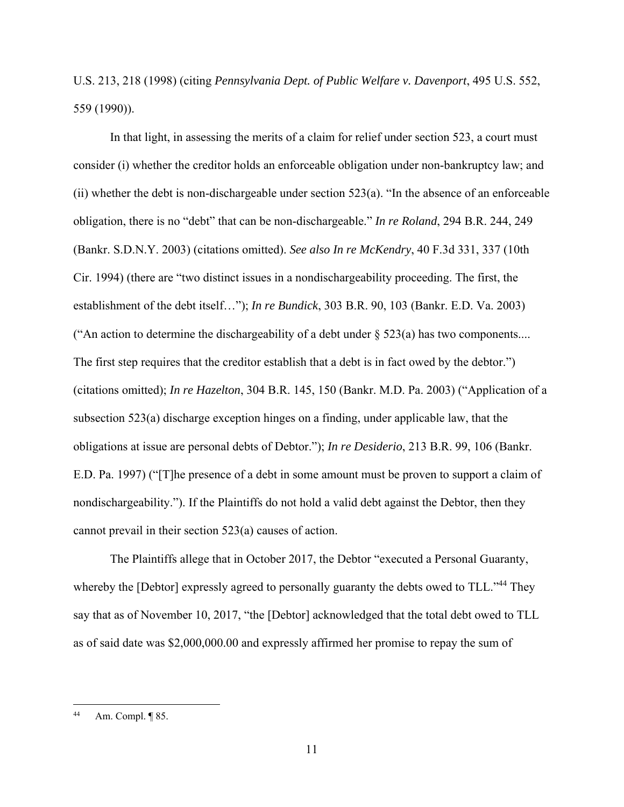U.S. 213, 218 (1998) (citing *Pennsylvania Dept. of Public Welfare v. Davenport*, 495 U.S. 552, 559 (1990)).

In that light, in assessing the merits of a claim for relief under section 523, a court must consider (i) whether the creditor holds an enforceable obligation under non-bankruptcy law; and (ii) whether the debt is non-dischargeable under section 523(a). "In the absence of an enforceable obligation, there is no "debt" that can be non-dischargeable." *In re Roland*, 294 B.R. 244, 249 (Bankr. S.D.N.Y. 2003) (citations omitted). *See also In re McKendry*, 40 F.3d 331, 337 (10th Cir. 1994) (there are "two distinct issues in a nondischargeability proceeding. The first, the establishment of the debt itself…"); *In re Bundick*, 303 B.R. 90, 103 (Bankr. E.D. Va. 2003) ("An action to determine the dischargeability of a debt under  $\S$  523(a) has two components.... The first step requires that the creditor establish that a debt is in fact owed by the debtor.") (citations omitted); *In re Hazelton*, 304 B.R. 145, 150 (Bankr. M.D. Pa. 2003) ("Application of a subsection 523(a) discharge exception hinges on a finding, under applicable law, that the obligations at issue are personal debts of Debtor."); *In re Desiderio*, 213 B.R. 99, 106 (Bankr. E.D. Pa. 1997) ("[T]he presence of a debt in some amount must be proven to support a claim of nondischargeability."). If the Plaintiffs do not hold a valid debt against the Debtor, then they cannot prevail in their section 523(a) causes of action.

The Plaintiffs allege that in October 2017, the Debtor "executed a Personal Guaranty, whereby the [Debtor] expressly agreed to personally guaranty the debts owed to TLL."<sup>44</sup> They say that as of November 10, 2017, "the [Debtor] acknowledged that the total debt owed to TLL as of said date was \$2,000,000.00 and expressly affirmed her promise to repay the sum of

<sup>44</sup> Am. Compl. ¶ 85.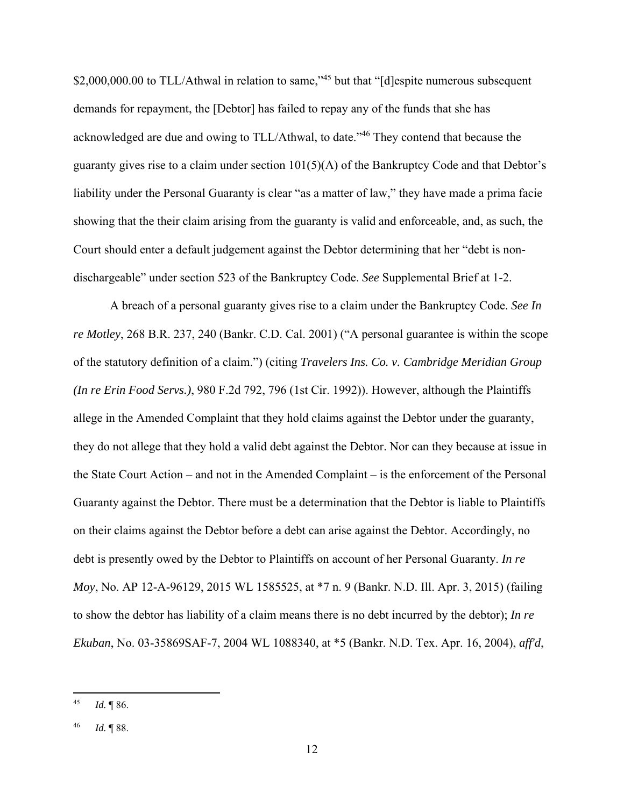\$2,000,000.00 to TLL/Athwal in relation to same,<sup>145</sup> but that "[d]espite numerous subsequent demands for repayment, the [Debtor] has failed to repay any of the funds that she has acknowledged are due and owing to TLL/Athwal, to date."46 They contend that because the guaranty gives rise to a claim under section 101(5)(A) of the Bankruptcy Code and that Debtor's liability under the Personal Guaranty is clear "as a matter of law," they have made a prima facie showing that the their claim arising from the guaranty is valid and enforceable, and, as such, the Court should enter a default judgement against the Debtor determining that her "debt is nondischargeable" under section 523 of the Bankruptcy Code. *See* Supplemental Brief at 1-2.

 A breach of a personal guaranty gives rise to a claim under the Bankruptcy Code. *See In re Motley*, 268 B.R. 237, 240 (Bankr. C.D. Cal. 2001) ("A personal guarantee is within the scope of the statutory definition of a claim.") (citing *Travelers Ins. Co. v. Cambridge Meridian Group (In re Erin Food Servs.)*, 980 F.2d 792, 796 (1st Cir. 1992)). However, although the Plaintiffs allege in the Amended Complaint that they hold claims against the Debtor under the guaranty, they do not allege that they hold a valid debt against the Debtor. Nor can they because at issue in the State Court Action – and not in the Amended Complaint – is the enforcement of the Personal Guaranty against the Debtor. There must be a determination that the Debtor is liable to Plaintiffs on their claims against the Debtor before a debt can arise against the Debtor. Accordingly, no debt is presently owed by the Debtor to Plaintiffs on account of her Personal Guaranty. *In re Moy*, No. AP 12-A-96129, 2015 WL 1585525, at \*7 n. 9 (Bankr. N.D. Ill. Apr. 3, 2015) (failing to show the debtor has liability of a claim means there is no debt incurred by the debtor); *In re Ekuban*, No. 03-35869SAF-7, 2004 WL 1088340, at \*5 (Bankr. N.D. Tex. Apr. 16, 2004), *aff'd*,

<sup>45</sup> *Id.* ¶ 86.

<sup>46</sup> *Id.* ¶ 88.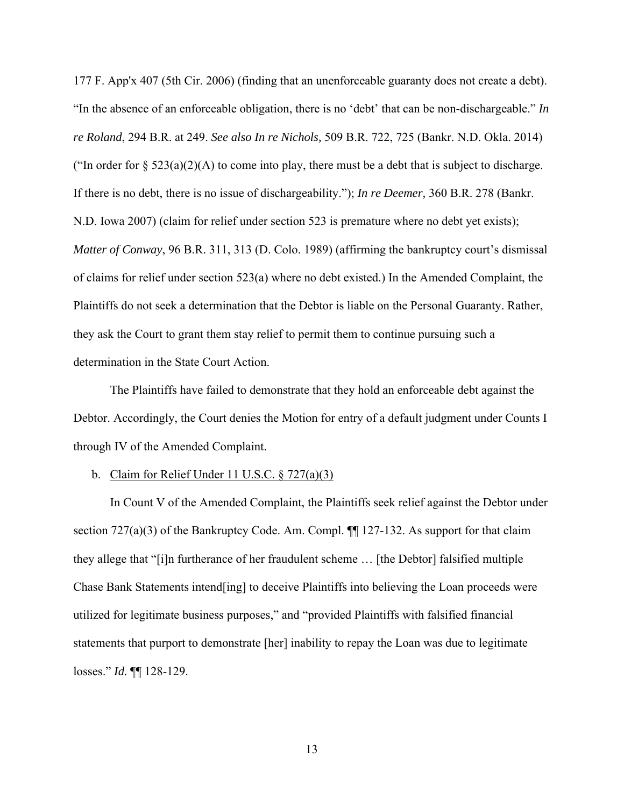177 F. App'x 407 (5th Cir. 2006) (finding that an unenforceable guaranty does not create a debt). "In the absence of an enforceable obligation, there is no 'debt' that can be non-dischargeable." *In re Roland*, 294 B.R. at 249. *See also In re Nichols,* 509 B.R. 722, 725 (Bankr. N.D. Okla. 2014) ("In order for  $\S 523(a)(2)(A)$  to come into play, there must be a debt that is subject to discharge. If there is no debt, there is no issue of dischargeability."); *In re Deemer,* 360 B.R. 278 (Bankr. N.D. Iowa 2007) (claim for relief under section 523 is premature where no debt yet exists); *Matter of Conway*, 96 B.R. 311, 313 (D. Colo. 1989) (affirming the bankruptcy court's dismissal of claims for relief under section 523(a) where no debt existed.) In the Amended Complaint, the Plaintiffs do not seek a determination that the Debtor is liable on the Personal Guaranty. Rather, they ask the Court to grant them stay relief to permit them to continue pursuing such a determination in the State Court Action.

 The Plaintiffs have failed to demonstrate that they hold an enforceable debt against the Debtor. Accordingly, the Court denies the Motion for entry of a default judgment under Counts I through IV of the Amended Complaint.

### b. Claim for Relief Under 11 U.S.C.  $\S 727(a)(3)$

In Count V of the Amended Complaint, the Plaintiffs seek relief against the Debtor under section 727(a)(3) of the Bankruptcy Code. Am. Compl.  $\P$  127-132. As support for that claim they allege that "[i]n furtherance of her fraudulent scheme … [the Debtor] falsified multiple Chase Bank Statements intend[ing] to deceive Plaintiffs into believing the Loan proceeds were utilized for legitimate business purposes," and "provided Plaintiffs with falsified financial statements that purport to demonstrate [her] inability to repay the Loan was due to legitimate losses." *Id.* ¶¶ 128-129.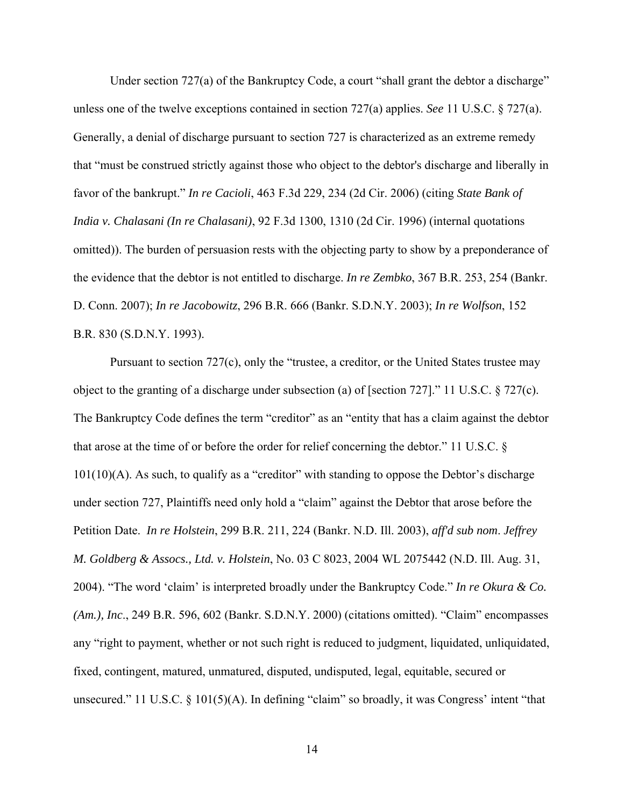Under section 727(a) of the Bankruptcy Code, a court "shall grant the debtor a discharge" unless one of the twelve exceptions contained in section 727(a) applies. *See* 11 U.S.C. § 727(a). Generally, a denial of discharge pursuant to section 727 is characterized as an extreme remedy that "must be construed strictly against those who object to the debtor's discharge and liberally in favor of the bankrupt." *In re Cacioli*, 463 F.3d 229, 234 (2d Cir. 2006) (citing *State Bank of India v. Chalasani (In re Chalasani)*, 92 F.3d 1300, 1310 (2d Cir. 1996) (internal quotations omitted)). The burden of persuasion rests with the objecting party to show by a preponderance of the evidence that the debtor is not entitled to discharge. *In re Zembko*, 367 B.R. 253, 254 (Bankr. D. Conn. 2007); *In re Jacobowitz*, 296 B.R. 666 (Bankr. S.D.N.Y. 2003); *In re Wolfson*, 152 B.R. 830 (S.D.N.Y. 1993).

Pursuant to section 727(c), only the "trustee, a creditor, or the United States trustee may object to the granting of a discharge under subsection (a) of [section 727]." 11 U.S.C. § 727(c). The Bankruptcy Code defines the term "creditor" as an "entity that has a claim against the debtor that arose at the time of or before the order for relief concerning the debtor." 11 U.S.C. §  $101(10)(A)$ . As such, to qualify as a "creditor" with standing to oppose the Debtor's discharge under section 727, Plaintiffs need only hold a "claim" against the Debtor that arose before the Petition Date. *In re Holstein*, 299 B.R. 211, 224 (Bankr. N.D. Ill. 2003), *aff'd sub nom*. *Jeffrey M. Goldberg & Assocs., Ltd. v. Holstein*, No. 03 C 8023, 2004 WL 2075442 (N.D. Ill. Aug. 31, 2004). "The word 'claim' is interpreted broadly under the Bankruptcy Code." *In re Okura & Co. (Am.), Inc*., 249 B.R. 596, 602 (Bankr. S.D.N.Y. 2000) (citations omitted). "Claim" encompasses any "right to payment, whether or not such right is reduced to judgment, liquidated, unliquidated, fixed, contingent, matured, unmatured, disputed, undisputed, legal, equitable, secured or unsecured." 11 U.S.C. § 101(5)(A). In defining "claim" so broadly, it was Congress' intent "that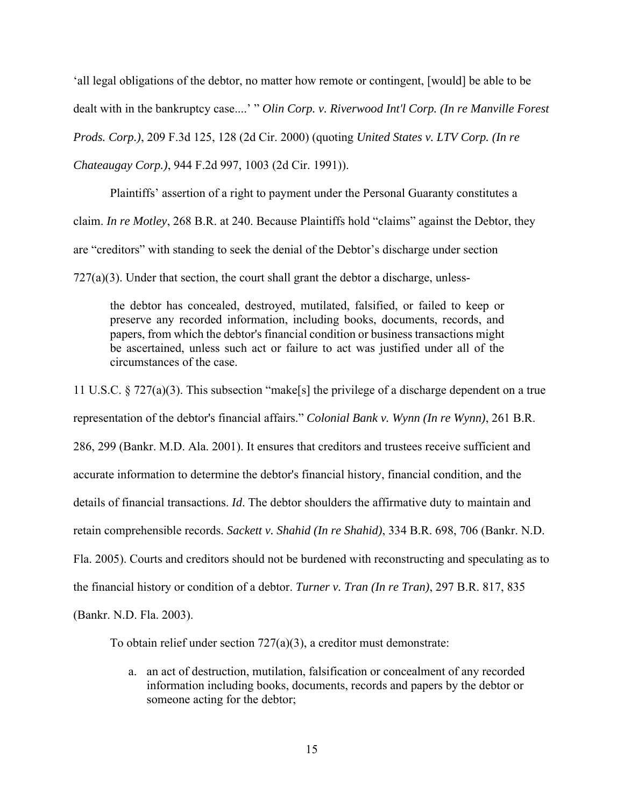'all legal obligations of the debtor, no matter how remote or contingent, [would] be able to be dealt with in the bankruptcy case....' " *Olin Corp. v. Riverwood Int'l Corp. (In re Manville Forest Prods. Corp.)*, 209 F.3d 125, 128 (2d Cir. 2000) (quoting *United States v. LTV Corp. (In re Chateaugay Corp.)*, 944 F.2d 997, 1003 (2d Cir. 1991)).

Plaintiffs' assertion of a right to payment under the Personal Guaranty constitutes a claim. *In re Motley*, 268 B.R. at 240. Because Plaintiffs hold "claims" against the Debtor, they are "creditors" with standing to seek the denial of the Debtor's discharge under section

 $727(a)(3)$ . Under that section, the court shall grant the debtor a discharge, unless-

the debtor has concealed, destroyed, mutilated, falsified, or failed to keep or preserve any recorded information, including books, documents, records, and papers, from which the debtor's financial condition or business transactions might be ascertained, unless such act or failure to act was justified under all of the circumstances of the case.

11 U.S.C. § 727(a)(3). This subsection "make[s] the privilege of a discharge dependent on a true representation of the debtor's financial affairs." *Colonial Bank v. Wynn (In re Wynn)*, 261 B.R. 286, 299 (Bankr. M.D. Ala. 2001). It ensures that creditors and trustees receive sufficient and accurate information to determine the debtor's financial history, financial condition, and the details of financial transactions. *Id*. The debtor shoulders the affirmative duty to maintain and retain comprehensible records. *Sackett v. Shahid (In re Shahid)*, 334 B.R. 698, 706 (Bankr. N.D. Fla. 2005). Courts and creditors should not be burdened with reconstructing and speculating as to the financial history or condition of a debtor. *Turner v. Tran (In re Tran)*, 297 B.R. 817, 835 (Bankr. N.D. Fla. 2003).

To obtain relief under section  $727(a)(3)$ , a creditor must demonstrate:

a. an act of destruction, mutilation, falsification or concealment of any recorded information including books, documents, records and papers by the debtor or someone acting for the debtor;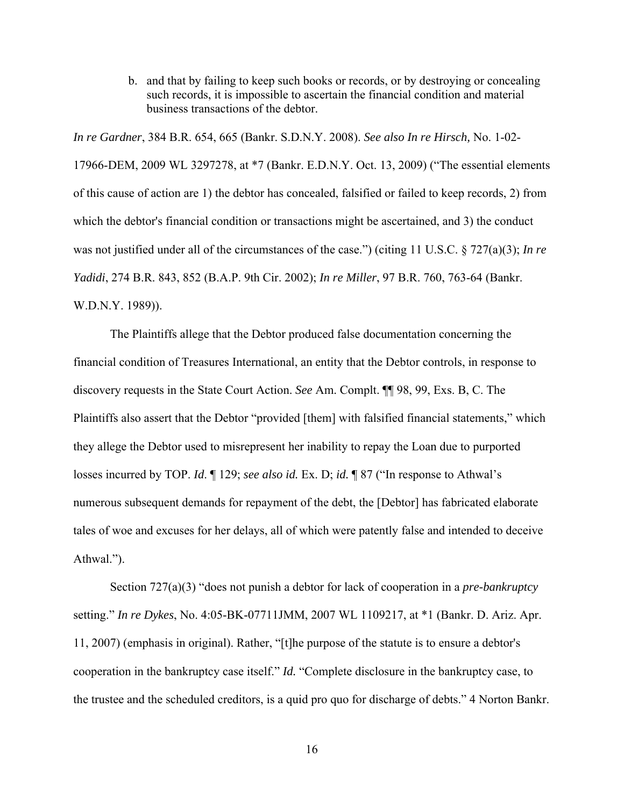b. and that by failing to keep such books or records, or by destroying or concealing such records, it is impossible to ascertain the financial condition and material business transactions of the debtor.

*In re Gardner*, 384 B.R. 654, 665 (Bankr. S.D.N.Y. 2008). *See also In re Hirsch,* No. 1-02- 17966-DEM, 2009 WL 3297278, at \*7 (Bankr. E.D.N.Y. Oct. 13, 2009) ("The essential elements of this cause of action are 1) the debtor has concealed, falsified or failed to keep records, 2) from which the debtor's financial condition or transactions might be ascertained, and 3) the conduct was not justified under all of the circumstances of the case.") (citing 11 U.S.C. § 727(a)(3); *In re Yadidi*, 274 B.R. 843, 852 (B.A.P. 9th Cir. 2002); *In re Miller*, 97 B.R. 760, 763-64 (Bankr. W.D.N.Y. 1989)).

The Plaintiffs allege that the Debtor produced false documentation concerning the financial condition of Treasures International, an entity that the Debtor controls, in response to discovery requests in the State Court Action. *See* Am. Complt. ¶¶ 98, 99, Exs. B, C. The Plaintiffs also assert that the Debtor "provided [them] with falsified financial statements," which they allege the Debtor used to misrepresent her inability to repay the Loan due to purported losses incurred by TOP. *Id*. ¶ 129; *see also id.* Ex. D; *id.* ¶ 87 ("In response to Athwal's numerous subsequent demands for repayment of the debt, the [Debtor] has fabricated elaborate tales of woe and excuses for her delays, all of which were patently false and intended to deceive Athwal.").

Section 727(a)(3) "does not punish a debtor for lack of cooperation in a *pre-bankruptcy* setting." *In re Dykes*, No. 4:05-BK-07711JMM, 2007 WL 1109217, at \*1 (Bankr. D. Ariz. Apr. 11, 2007) (emphasis in original). Rather, "[t]he purpose of the statute is to ensure a debtor's cooperation in the bankruptcy case itself." *Id.* "Complete disclosure in the bankruptcy case, to the trustee and the scheduled creditors, is a quid pro quo for discharge of debts." 4 Norton Bankr.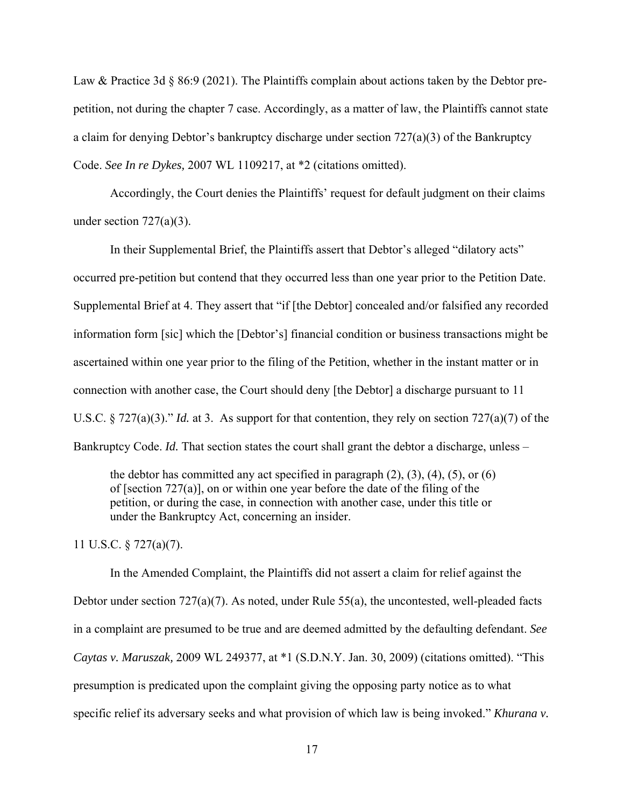Law & Practice 3d  $\S 86.9$  (2021). The Plaintiffs complain about actions taken by the Debtor prepetition, not during the chapter 7 case. Accordingly, as a matter of law, the Plaintiffs cannot state a claim for denying Debtor's bankruptcy discharge under section  $727(a)(3)$  of the Bankruptcy Code. *See In re Dykes,* 2007 WL 1109217, at \*2 (citations omitted).

Accordingly, the Court denies the Plaintiffs' request for default judgment on their claims under section  $727(a)(3)$ .

In their Supplemental Brief, the Plaintiffs assert that Debtor's alleged "dilatory acts" occurred pre-petition but contend that they occurred less than one year prior to the Petition Date. Supplemental Brief at 4. They assert that "if [the Debtor] concealed and/or falsified any recorded information form [sic] which the [Debtor's] financial condition or business transactions might be ascertained within one year prior to the filing of the Petition, whether in the instant matter or in connection with another case, the Court should deny [the Debtor] a discharge pursuant to 11 U.S.C. § 727(a)(3)." *Id.* at 3. As support for that contention, they rely on section 727(a)(7) of the Bankruptcy Code. *Id.* That section states the court shall grant the debtor a discharge, unless –

the debtor has committed any act specified in paragraph  $(2)$ ,  $(3)$ ,  $(4)$ ,  $(5)$ , or  $(6)$ of [section 727(a)], on or within one year before the date of the filing of the petition, or during the case, in connection with another case, under this title or under the Bankruptcy Act, concerning an insider.

11 U.S.C. § 727(a)(7).

In the Amended Complaint, the Plaintiffs did not assert a claim for relief against the Debtor under section 727(a)(7). As noted, under Rule 55(a), the uncontested, well-pleaded facts in a complaint are presumed to be true and are deemed admitted by the defaulting defendant. *See Caytas v. Maruszak,* 2009 WL 249377, at \*1 (S.D.N.Y. Jan. 30, 2009) (citations omitted). "This presumption is predicated upon the complaint giving the opposing party notice as to what specific relief its adversary seeks and what provision of which law is being invoked." *Khurana v.*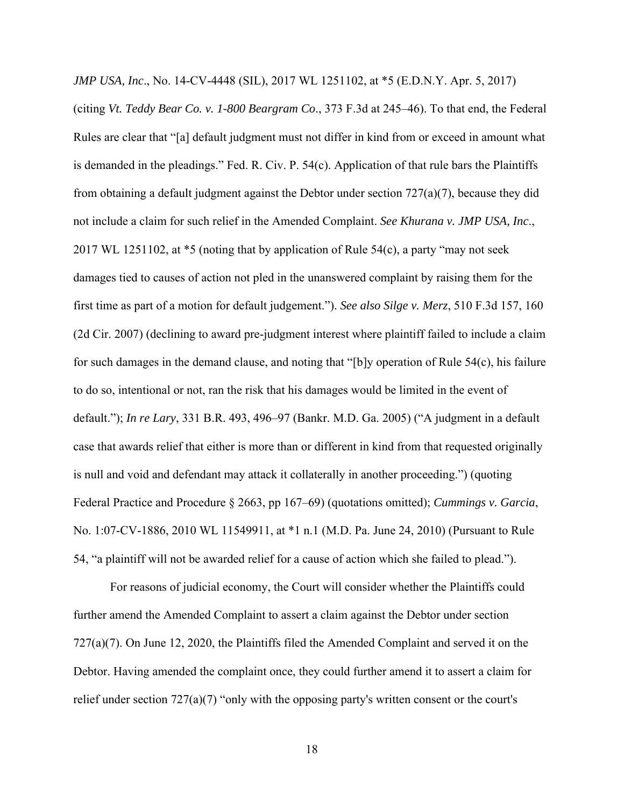*JMP USA, Inc*., No. 14-CV-4448 (SIL), 2017 WL 1251102, at \*5 (E.D.N.Y. Apr. 5, 2017)

(citing *Vt. Teddy Bear Co. v. 1-800 Beargram Co*., 373 F.3d at 245–46). To that end, the Federal Rules are clear that "[a] default judgment must not differ in kind from or exceed in amount what is demanded in the pleadings." Fed. R. Civ. P. 54(c). Application of that rule bars the Plaintiffs from obtaining a default judgment against the Debtor under section 727(a)(7), because they did not include a claim for such relief in the Amended Complaint. *See Khurana v. JMP USA, Inc*., 2017 WL 1251102, at \*5 (noting that by application of Rule 54(c), a party "may not seek damages tied to causes of action not pled in the unanswered complaint by raising them for the first time as part of a motion for default judgement."). *See also Silge v. Merz*, 510 F.3d 157, 160 (2d Cir. 2007) (declining to award pre-judgment interest where plaintiff failed to include a claim for such damages in the demand clause, and noting that "[b]y operation of Rule 54(c), his failure to do so, intentional or not, ran the risk that his damages would be limited in the event of default."); *In re Lary*, 331 B.R. 493, 496–97 (Bankr. M.D. Ga. 2005) ("A judgment in a default case that awards relief that either is more than or different in kind from that requested originally is null and void and defendant may attack it collaterally in another proceeding.") (quoting Federal Practice and Procedure § 2663, pp 167–69) (quotations omitted); *Cummings v. Garcia*, No. 1:07-CV-1886, 2010 WL 11549911, at \*1 n.1 (M.D. Pa. June 24, 2010) (Pursuant to Rule 54, "a plaintiff will not be awarded relief for a cause of action which she failed to plead.").

For reasons of judicial economy, the Court will consider whether the Plaintiffs could further amend the Amended Complaint to assert a claim against the Debtor under section 727(a)(7). On June 12, 2020, the Plaintiffs filed the Amended Complaint and served it on the Debtor. Having amended the complaint once, they could further amend it to assert a claim for relief under section  $727(a)(7)$  "only with the opposing party's written consent or the court's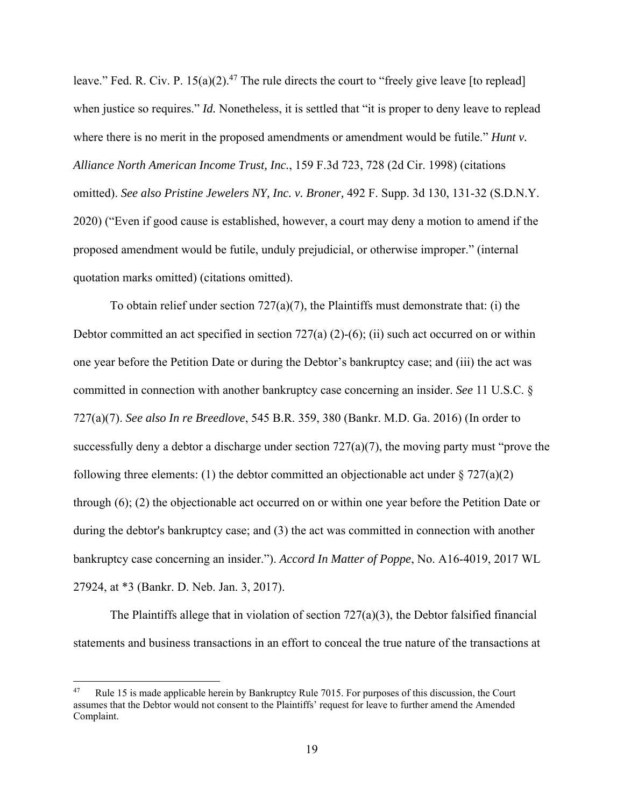leave." Fed. R. Civ. P.  $15(a)(2)$ .<sup>47</sup> The rule directs the court to "freely give leave [to replead] when justice so requires." *Id.* Nonetheless, it is settled that "it is proper to deny leave to replead where there is no merit in the proposed amendments or amendment would be futile." *Hunt v. Alliance North American Income Trust, Inc.*, 159 F.3d 723, 728 (2d Cir. 1998) (citations omitted). *See also Pristine Jewelers NY, Inc. v. Broner,* 492 F. Supp. 3d 130, 131-32 (S.D.N.Y. 2020) ("Even if good cause is established, however, a court may deny a motion to amend if the proposed amendment would be futile, unduly prejudicial, or otherwise improper." (internal quotation marks omitted) (citations omitted).

To obtain relief under section  $727(a)(7)$ , the Plaintiffs must demonstrate that: (i) the Debtor committed an act specified in section  $727(a) (2)-(6)$ ; (ii) such act occurred on or within one year before the Petition Date or during the Debtor's bankruptcy case; and (iii) the act was committed in connection with another bankruptcy case concerning an insider. *See* 11 U.S.C. § 727(a)(7). *See also In re Breedlove*, 545 B.R. 359, 380 (Bankr. M.D. Ga. 2016) (In order to successfully deny a debtor a discharge under section 727(a)(7), the moving party must "prove the following three elements: (1) the debtor committed an objectionable act under  $\S 727(a)(2)$ through (6); (2) the objectionable act occurred on or within one year before the Petition Date or during the debtor's bankruptcy case; and (3) the act was committed in connection with another bankruptcy case concerning an insider."). *Accord In Matter of Poppe*, No. A16-4019, 2017 WL 27924, at \*3 (Bankr. D. Neb. Jan. 3, 2017).

The Plaintiffs allege that in violation of section 727(a)(3), the Debtor falsified financial statements and business transactions in an effort to conceal the true nature of the transactions at

Rule 15 is made applicable herein by Bankruptcy Rule 7015. For purposes of this discussion, the Court assumes that the Debtor would not consent to the Plaintiffs' request for leave to further amend the Amended Complaint.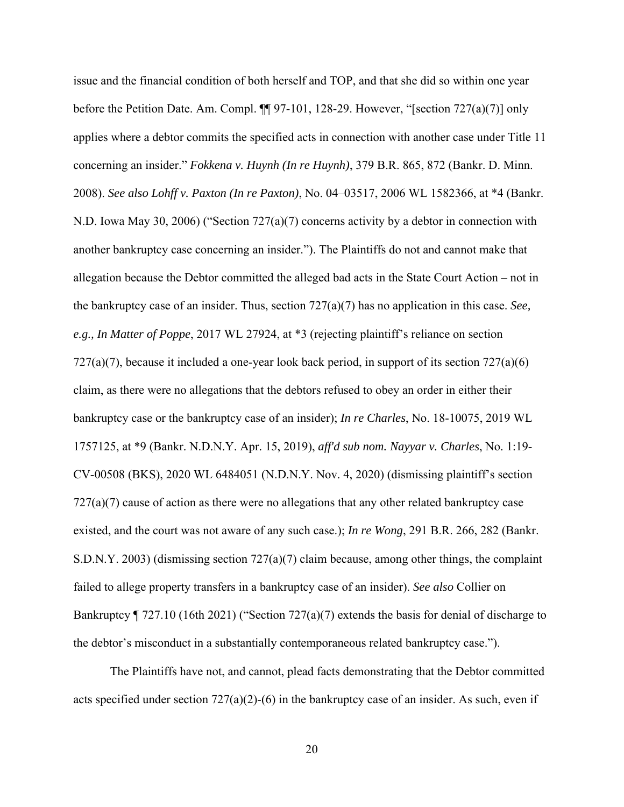issue and the financial condition of both herself and TOP, and that she did so within one year before the Petition Date. Am. Compl.  $\P$  97-101, 128-29. However, "[section 727(a)(7)] only applies where a debtor commits the specified acts in connection with another case under Title 11 concerning an insider." *Fokkena v. Huynh (In re Huynh)*, 379 B.R. 865, 872 (Bankr. D. Minn. 2008). *See also Lohff v. Paxton (In re Paxton)*, No. 04–03517, 2006 WL 1582366, at \*4 (Bankr. N.D. Iowa May 30, 2006) ("Section 727(a)(7) concerns activity by a debtor in connection with another bankruptcy case concerning an insider."). The Plaintiffs do not and cannot make that allegation because the Debtor committed the alleged bad acts in the State Court Action – not in the bankruptcy case of an insider. Thus, section 727(a)(7) has no application in this case. *See, e.g., In Matter of Poppe*, 2017 WL 27924, at \*3 (rejecting plaintiff's reliance on section  $727(a)(7)$ , because it included a one-year look back period, in support of its section  $727(a)(6)$ claim, as there were no allegations that the debtors refused to obey an order in either their bankruptcy case or the bankruptcy case of an insider); *In re Charles*, No. 18-10075, 2019 WL 1757125, at \*9 (Bankr. N.D.N.Y. Apr. 15, 2019), *aff'd sub nom. Nayyar v. Charles*, No. 1:19- CV-00508 (BKS), 2020 WL 6484051 (N.D.N.Y. Nov. 4, 2020) (dismissing plaintiff's section 727(a)(7) cause of action as there were no allegations that any other related bankruptcy case existed, and the court was not aware of any such case.); *In re Wong*, 291 B.R. 266, 282 (Bankr. S.D.N.Y. 2003) (dismissing section 727(a)(7) claim because, among other things, the complaint failed to allege property transfers in a bankruptcy case of an insider). *See also* Collier on Bankruptcy ¶ 727.10 (16th 2021) ("Section 727(a)(7) extends the basis for denial of discharge to the debtor's misconduct in a substantially contemporaneous related bankruptcy case.").

 The Plaintiffs have not, and cannot, plead facts demonstrating that the Debtor committed acts specified under section  $727(a)(2)-(6)$  in the bankruptcy case of an insider. As such, even if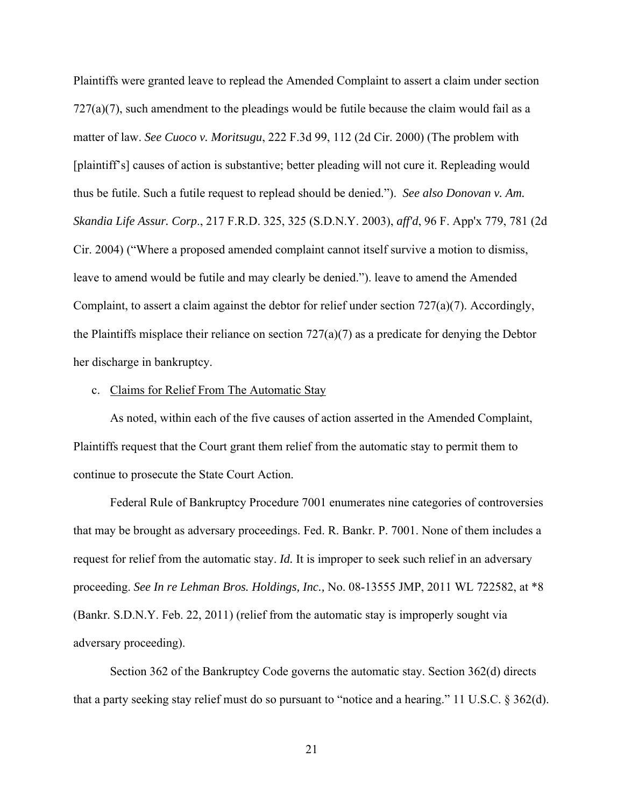Plaintiffs were granted leave to replead the Amended Complaint to assert a claim under section  $727(a)(7)$ , such amendment to the pleadings would be futile because the claim would fail as a matter of law. *See Cuoco v. Moritsugu*, 222 F.3d 99, 112 (2d Cir. 2000) (The problem with [plaintiff's] causes of action is substantive; better pleading will not cure it. Repleading would thus be futile. Such a futile request to replead should be denied."). *See also Donovan v. Am. Skandia Life Assur. Corp*., 217 F.R.D. 325, 325 (S.D.N.Y. 2003), *aff'd*, 96 F. App'x 779, 781 (2d Cir. 2004) ("Where a proposed amended complaint cannot itself survive a motion to dismiss, leave to amend would be futile and may clearly be denied."). leave to amend the Amended Complaint, to assert a claim against the debtor for relief under section 727(a)(7). Accordingly, the Plaintiffs misplace their reliance on section 727(a)(7) as a predicate for denying the Debtor her discharge in bankruptcy.

#### c. Claims for Relief From The Automatic Stay

As noted, within each of the five causes of action asserted in the Amended Complaint, Plaintiffs request that the Court grant them relief from the automatic stay to permit them to continue to prosecute the State Court Action.

Federal Rule of Bankruptcy Procedure 7001 enumerates nine categories of controversies that may be brought as adversary proceedings. Fed. R. Bankr. P. 7001. None of them includes a request for relief from the automatic stay. *Id.* It is improper to seek such relief in an adversary proceeding. *See In re Lehman Bros. Holdings, Inc.,* No. 08-13555 JMP, 2011 WL 722582, at \*8 (Bankr. S.D.N.Y. Feb. 22, 2011) (relief from the automatic stay is improperly sought via adversary proceeding).

Section 362 of the Bankruptcy Code governs the automatic stay. Section 362(d) directs that a party seeking stay relief must do so pursuant to "notice and a hearing." 11 U.S.C. § 362(d).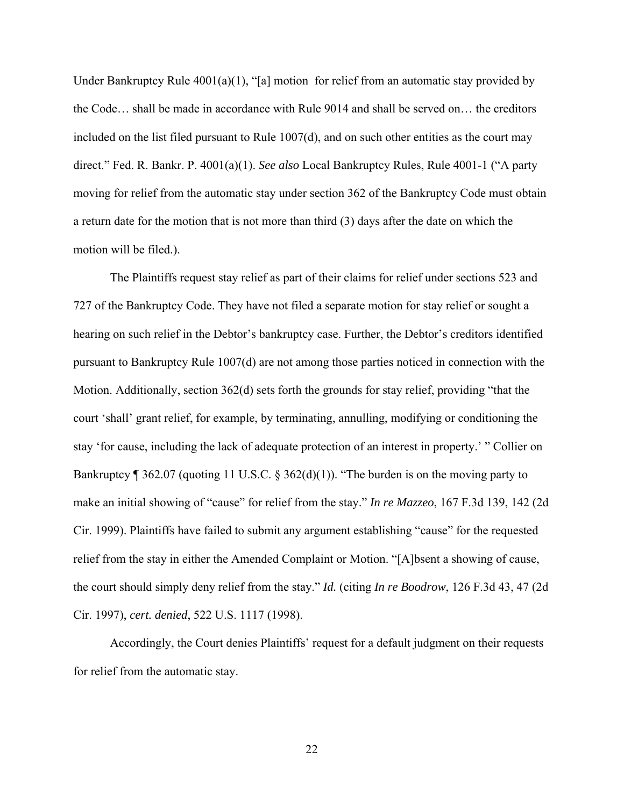Under Bankruptcy Rule  $4001(a)(1)$ , "[a] motion for relief from an automatic stay provided by the Code… shall be made in accordance with Rule 9014 and shall be served on… the creditors included on the list filed pursuant to Rule  $1007(d)$ , and on such other entities as the court may direct." Fed. R. Bankr. P. 4001(a)(1). *See also* Local Bankruptcy Rules, Rule 4001-1 ("A party moving for relief from the automatic stay under section 362 of the Bankruptcy Code must obtain a return date for the motion that is not more than third (3) days after the date on which the motion will be filed.).

The Plaintiffs request stay relief as part of their claims for relief under sections 523 and 727 of the Bankruptcy Code. They have not filed a separate motion for stay relief or sought a hearing on such relief in the Debtor's bankruptcy case. Further, the Debtor's creditors identified pursuant to Bankruptcy Rule 1007(d) are not among those parties noticed in connection with the Motion. Additionally, section 362(d) sets forth the grounds for stay relief, providing "that the court 'shall' grant relief, for example, by terminating, annulling, modifying or conditioning the stay 'for cause, including the lack of adequate protection of an interest in property.' " Collier on Bankruptcy ¶ 362.07 (quoting 11 U.S.C. § 362(d)(1)). "The burden is on the moving party to make an initial showing of "cause" for relief from the stay." *In re Mazzeo*, 167 F.3d 139, 142 (2d Cir. 1999). Plaintiffs have failed to submit any argument establishing "cause" for the requested relief from the stay in either the Amended Complaint or Motion. "[A]bsent a showing of cause, the court should simply deny relief from the stay." *Id.* (citing *In re Boodrow*, 126 F.3d 43, 47 (2d Cir. 1997), *cert. denied*, 522 U.S. 1117 (1998).

Accordingly, the Court denies Plaintiffs' request for a default judgment on their requests for relief from the automatic stay.